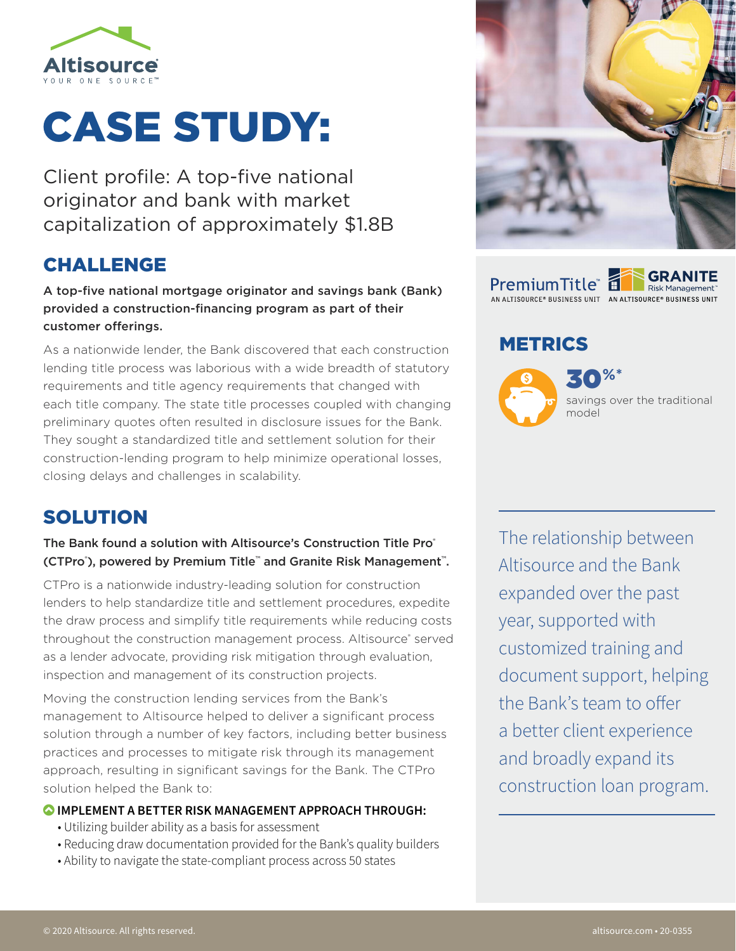

# CASE STUDY:

Client profile: A top-five national originator and bank with market capitalization of approximately \$1.8B

## CHALLENGE

A top-five national mortgage originator and savings bank (Bank) provided a construction-financing program as part of their customer offerings.

As a nationwide lender, the Bank discovered that each construction lending title process was laborious with a wide breadth of statutory requirements and title agency requirements that changed with each title company. The state title processes coupled with changing preliminary quotes often resulted in disclosure issues for the Bank. They sought a standardized title and settlement solution for their construction-lending program to help minimize operational losses, closing delays and challenges in scalability.

## SOLUTION

## The Bank found a solution with Altisource's Construction Title Pro® (CTPro® ), powered by Premium Title™ and Granite Risk Management™.

CTPro is a nationwide industry-leading solution for construction lenders to help standardize title and settlement procedures, expedite the draw process and simplify title requirements while reducing costs throughout the construction management process. Altisource<sup>®</sup> served as a lender advocate, providing risk mitigation through evaluation, inspection and management of its construction projects.

Moving the construction lending services from the Bank's management to Altisource helped to deliver a significant process solution through a number of key factors, including better business practices and processes to mitigate risk through its management approach, resulting in significant savings for the Bank. The CTPro solution helped the Bank to:

### **IMPLEMENT A BETTER RISK MANAGEMENT APPROACH THROUGH:**

- Utilizing builder ability as a basis for assessment
- Reducing draw documentation provided for the Bank's quality builders
- Ability to navigate the state-compliant process across 50 states



**GRANITE PremiumTitle** Risk Management<sup>®</sup> .<br>AN ALTISOURCE® BUSINESS UNIT – AN ALTISOURCE® BUSINESS UNIT

## METRICS



The relationship between Altisource and the Bank expanded over the past year, supported with customized training and document support, helping the Bank's team to offer a better client experience and broadly expand its construction loan program.